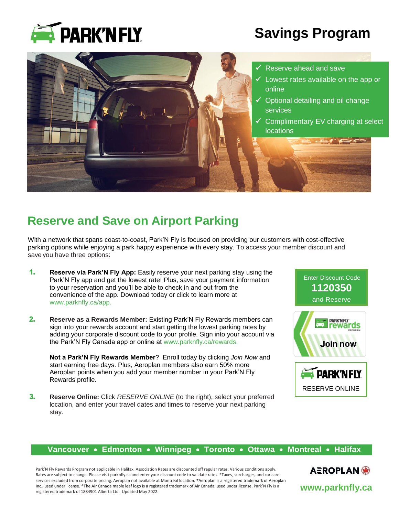

# **Savings Program**



## **Reserve and Save on Airport Parking**

With a network that spans coast-to-coast, Park'N Fly is focused on providing our customers with cost-effective parking options while enjoying a park happy experience with every stay. To access your member discount and save you have three options:

- 1. **Reserve via Park'N Fly App:** Easily reserve your next parking stay using the Park'N Fly app and get the lowest rate! Plus, save your payment information to your reservation and you'll be able to check in and out from the convenience of the app. Download today or click to learn more at [www.parknfly.ca/app.](http://www.parknfly.ca/app)
- 2. **Reserve as a Rewards Member:** Existing Park'N Fly Rewards members can sign into your rewards account and start getting the lowest parking rates by adding your corporate discount code to your profile. Sign into your account via the Park'N Fly Canada app or online at www.parknfly.ca/rewards.

**Not a Park'N Fly Rewards Member**? Enroll today by clicking *Join Now* and start earning free days. Plus, Aeroplan members also earn 50% more Aeroplan points when you add your member number in your Park'N Fly Rewards profile.

3. **Reserve Online:** Click *RESERVE ONLINE* (to the right), select your preferred location, and enter your travel dates and times to reserve your next parking stay.



### **Vancouver Edmonton Winnipeg Toronto Ottawa Montreal Halifax**

Park'N Fly Rewards Program not applicable in Halifax. Association Rates are discounted off regular rates. Various conditions apply. Rates are subject to change. Please visit parknfly.ca and enter your discount code to validate rates. \*Taxes, surcharges, and car care services excluded from corporate pricing. Aeroplan not available at Montréal location. ®Aeroplan is a registered trademark of Aeroplan Inc., used under license. ®The Air Canada maple leaf logo is a registered trademark of Air Canada, used under license. Park'N Fly is a registered trademark of 1884901 Alberta Ltd. Updated May 2022.

AEROPLAN® **www.parknfly.ca**